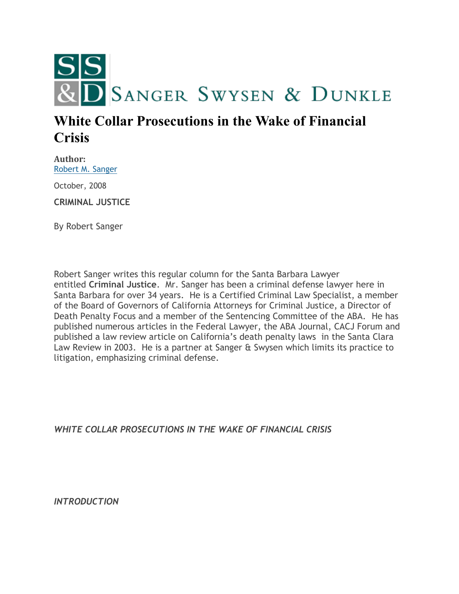

## **White Collar Prosecutions in the Wake of Financial Crisis**

**Author:** [Robert M. Sanger](http://sangerswysen.com/robert-m-sanger)

October, 2008

**CRIMINAL JUSTICE**

By Robert Sanger

Robert Sanger writes this regular column for the Santa Barbara Lawyer entitled **Criminal Justice**. Mr. Sanger has been a criminal defense lawyer here in Santa Barbara for over 34 years. He is a Certified Criminal Law Specialist, a member of the Board of Governors of California Attorneys for Criminal Justice, a Director of Death Penalty Focus and a member of the Sentencing Committee of the ABA. He has published numerous articles in the Federal Lawyer, the ABA Journal, CACJ Forum and published a law review article on California's death penalty laws in the Santa Clara Law Review in 2003. He is a partner at Sanger & Swysen which limits its practice to litigation, emphasizing criminal defense.

*WHITE COLLAR PROSECUTIONS IN THE WAKE OF FINANCIAL CRISIS*

*INTRODUCTION*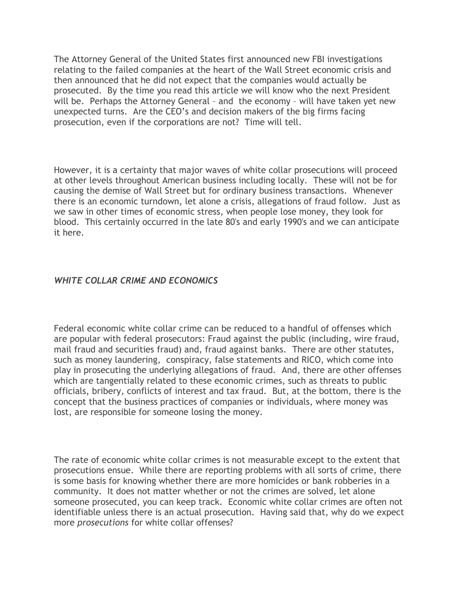The Attorney General of the United States first announced new FBI investigations relating to the failed companies at the heart of the Wall Street economic crisis and then announced that he did not expect that the companies would actually be prosecuted. By the time you read this article we will know who the next President will be. Perhaps the Attorney General – and the economy – will have taken yet new unexpected turns. Are the CEO's and decision makers of the big firms facing prosecution, even if the corporations are not? Time will tell.

However, it is a certainty that major waves of white collar prosecutions will proceed at other levels throughout American business including locally. These will not be for causing the demise of Wall Street but for ordinary business transactions. Whenever there is an economic turndown, let alone a crisis, allegations of fraud follow. Just as we saw in other times of economic stress, when people lose money, they look for blood. This certainly occurred in the late 80's and early 1990's and we can anticipate it here.

## *WHITE COLLAR CRIME AND ECONOMICS*

Federal economic white collar crime can be reduced to a handful of offenses which are popular with federal prosecutors: Fraud against the public (including, wire fraud, mail fraud and securities fraud) and, fraud against banks. There are other statutes, such as money laundering, conspiracy, false statements and RICO, which come into play in prosecuting the underlying allegations of fraud. And, there are other offenses which are tangentially related to these economic crimes, such as threats to public officials, bribery, conflicts of interest and tax fraud. But, at the bottom, there is the concept that the business practices of companies or individuals, where money was lost, are responsible for someone losing the money.

The rate of economic white collar crimes is not measurable except to the extent that prosecutions ensue. While there are reporting problems with all sorts of crime, there is some basis for knowing whether there are more homicides or bank robberies in a community. It does not matter whether or not the crimes are solved, let alone someone prosecuted, you can keep track. Economic white collar crimes are often not identifiable unless there is an actual prosecution. Having said that, why do we expect more *prosecutions* for white collar offenses?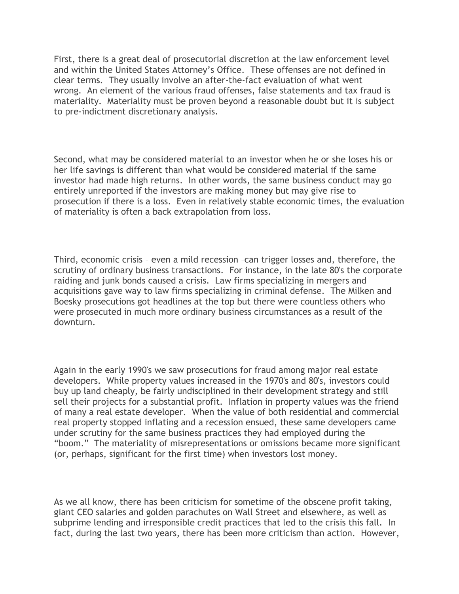First, there is a great deal of prosecutorial discretion at the law enforcement level and within the United States Attorney's Office. These offenses are not defined in clear terms. They usually involve an after-the-fact evaluation of what went wrong. An element of the various fraud offenses, false statements and tax fraud is materiality. Materiality must be proven beyond a reasonable doubt but it is subject to pre-indictment discretionary analysis.

Second, what may be considered material to an investor when he or she loses his or her life savings is different than what would be considered material if the same investor had made high returns. In other words, the same business conduct may go entirely unreported if the investors are making money but may give rise to prosecution if there is a loss. Even in relatively stable economic times, the evaluation of materiality is often a back extrapolation from loss.

Third, economic crisis – even a mild recession –can trigger losses and, therefore, the scrutiny of ordinary business transactions. For instance, in the late 80's the corporate raiding and junk bonds caused a crisis. Law firms specializing in mergers and acquisitions gave way to law firms specializing in criminal defense. The Milken and Boesky prosecutions got headlines at the top but there were countless others who were prosecuted in much more ordinary business circumstances as a result of the downturn.

Again in the early 1990's we saw prosecutions for fraud among major real estate developers. While property values increased in the 1970's and 80's, investors could buy up land cheaply, be fairly undisciplined in their development strategy and still sell their projects for a substantial profit. Inflation in property values was the friend of many a real estate developer. When the value of both residential and commercial real property stopped inflating and a recession ensued, these same developers came under scrutiny for the same business practices they had employed during the "boom." The materiality of misrepresentations or omissions became more significant (or, perhaps, significant for the first time) when investors lost money.

As we all know, there has been criticism for sometime of the obscene profit taking, giant CEO salaries and golden parachutes on Wall Street and elsewhere, as well as subprime lending and irresponsible credit practices that led to the crisis this fall. In fact, during the last two years, there has been more criticism than action. However,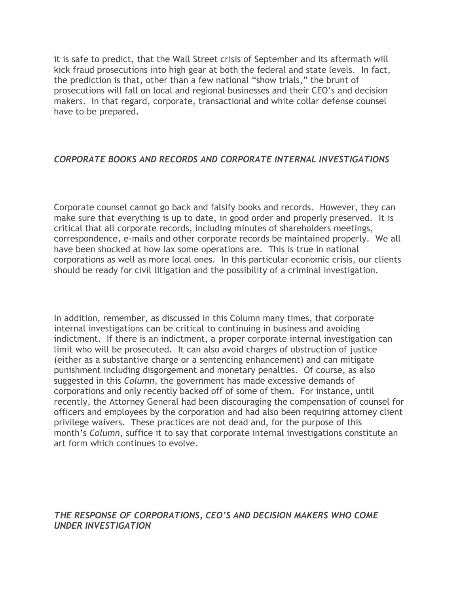it is safe to predict, that the Wall Street crisis of September and its aftermath will kick fraud prosecutions into high gear at both the federal and state levels. In fact, the prediction is that, other than a few national "show trials," the brunt of prosecutions will fall on local and regional businesses and their CEO's and decision makers. In that regard, corporate, transactional and white collar defense counsel have to be prepared.

## *CORPORATE BOOKS AND RECORDS AND CORPORATE INTERNAL INVESTIGATIONS*

Corporate counsel cannot go back and falsify books and records. However, they can make sure that everything is up to date, in good order and properly preserved. It is critical that all corporate records, including minutes of shareholders meetings, correspondence, e-mails and other corporate records be maintained properly. We all have been shocked at how lax some operations are. This is true in national corporations as well as more local ones. In this particular economic crisis, our clients should be ready for civil litigation and the possibility of a criminal investigation.

In addition, remember, as discussed in this Column many times, that corporate internal investigations can be critical to continuing in business and avoiding indictment. If there is an indictment, a proper corporate internal investigation can limit who will be prosecuted. It can also avoid charges of obstruction of justice (either as a substantive charge or a sentencing enhancement) and can mitigate punishment including disgorgement and monetary penalties. Of course, as also suggested in this *Column*, the government has made excessive demands of corporations and only recently backed off of some of them. For instance, until recently, the Attorney General had been discouraging the compensation of counsel for officers and employees by the corporation and had also been requiring attorney client privilege waivers. These practices are not dead and, for the purpose of this month's *Column*, suffice it to say that corporate internal investigations constitute an art form which continues to evolve.

*THE RESPONSE OF CORPORATIONS, CEO'S AND DECISION MAKERS WHO COME UNDER INVESTIGATION*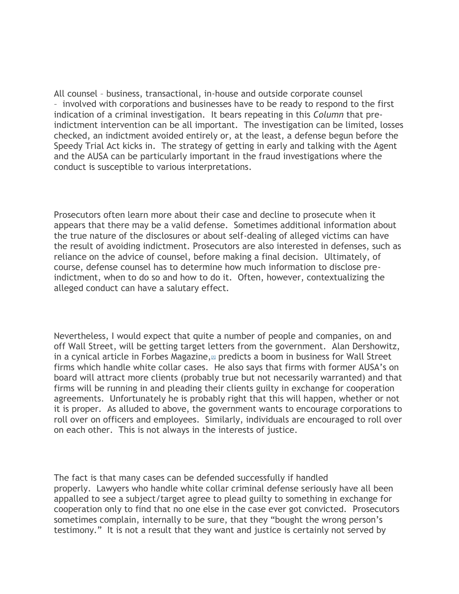All counsel – business, transactional, in-house and outside corporate counsel – involved with corporations and businesses have to be ready to respond to the first indication of a criminal investigation. It bears repeating in this *Column* that preindictment intervention can be all important. The investigation can be limited, losses checked, an indictment avoided entirely or, at the least, a defense begun before the Speedy Trial Act kicks in. The strategy of getting in early and talking with the Agent and the AUSA can be particularly important in the fraud investigations where the conduct is susceptible to various interpretations.

Prosecutors often learn more about their case and decline to prosecute when it appears that there may be a valid defense. Sometimes additional information about the true nature of the disclosures or about self-dealing of alleged victims can have the result of avoiding indictment. Prosecutors are also interested in defenses, such as reliance on the advice of counsel, before making a final decision. Ultimately, of course, defense counsel has to determine how much information to disclose preindictment, when to do so and how to do it. Often, however, contextualizing the alleged conduct can have a salutary effect.

Nevertheless, I would expect that quite a number of people and companies, on and off Wall Street, will be getting target letters from the government. Alan Dershowitz, in a cynical article in Forbes Magazine, $\mu$  predicts a boom in business for Wall Street firms which handle white collar cases. He also says that firms with former AUSA's on board will attract more clients (probably true but not necessarily warranted) and that firms will be running in and pleading their clients guilty in exchange for cooperation agreements. Unfortunately he is probably right that this will happen, whether or not it is proper. As alluded to above, the government wants to encourage corporations to roll over on officers and employees. Similarly, individuals are encouraged to roll over on each other. This is not always in the interests of justice.

The fact is that many cases can be defended successfully if handled properly. Lawyers who handle white collar criminal defense seriously have all been appalled to see a subject/target agree to plead guilty to something in exchange for cooperation only to find that no one else in the case ever got convicted. Prosecutors sometimes complain, internally to be sure, that they "bought the wrong person's testimony." It is not a result that they want and justice is certainly not served by